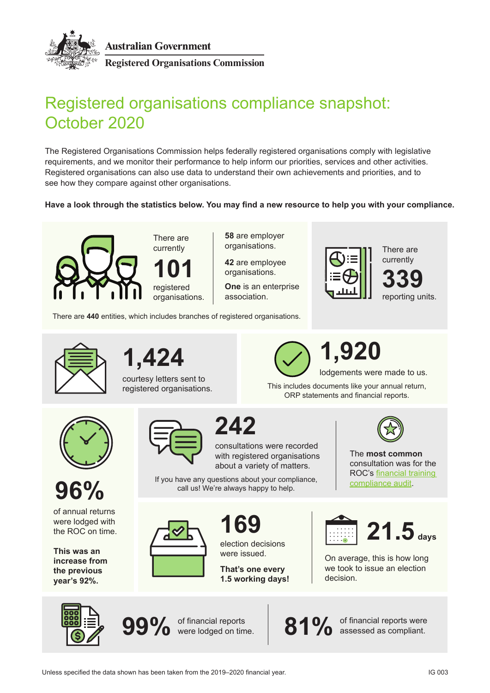



**Registered Organisations Commission**

## Registered organisations compliance snapshot: October 2020

The Registered Organisations Commission helps federally registered organisations comply with legislative requirements, and we monitor their performance to help inform our priorities, services and other activities. Registered organisations can also use data to understand their own achievements and priorities, and to see how they compare against other organisations.

**Have a look through the statistics below. You may find a new resource to help you with your compliance.**



There are currently

registered organisations. **101**

**58** are employer organisations.

**42** are employee organisations.

**One** is an enterprise association.

There are **440** entities, which includes branches of registered organisations.



There are currently





courtesy letters sent to registered organisations.



This includes documents like your annual return, ORP statements and financial reports.





of annual returns were lodged with the ROC on time.

**This was an increase from the previous year's 92%.**



**242**

consultations were recorded with registered organisations about a variety of matters.

If you have any questions about your compliance, call us! We're always happy to help.



**169**

election decisions were issued.

**That's one every 1.5 working days!**



The **most common**  consultation was for the ROC's [financial training](http://www.roc.gov.au/ArticleDocuments/473/md007-interim%20report-financial-training-audit-2019.pdf.aspx)  [compliance audit](http://www.roc.gov.au/ArticleDocuments/473/md007-interim%20report-financial-training-audit-2019.pdf.aspx).



On average, this is how long we took to issue an election decision.





of financial reports were lodged on time.

81% of financial reports were<br> **81%** assessed as compliant.